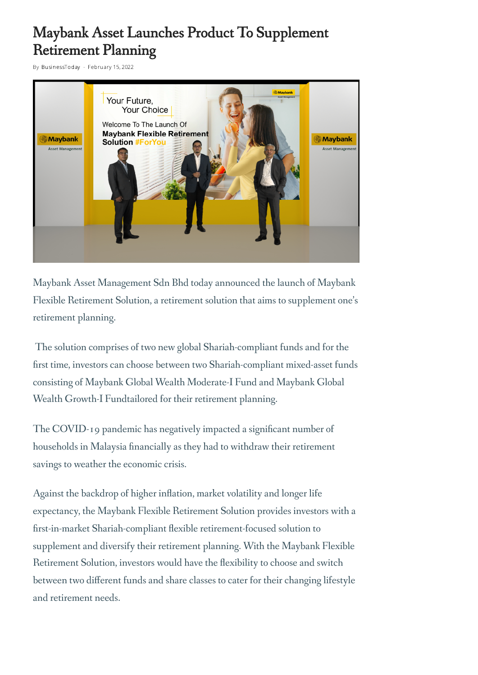## Maybank Asset Launches Product To Supplement Retirement Planning

By [BusinessToday](https://www.businesstoday.com.my/author/admin/) - February 15, 2022



Maybank Asset Management Sdn Bhd today announced the launch of Maybank Flexible Retirement Solution, a retirement solution that aims to supplement one's retirement planning.

The solution comprises of two new global Shariah-compliant funds and for the first time, investors can choose between two Shariah-compliant mixed-asset funds consisting of Maybank Global Wealth Moderate-I Fund and Maybank Global Wealth Growth-I Fundtailored for their retirement planning.

The COVID-19 pandemic has negatively impacted a significant number of households in Malaysia financially as they had to withdraw their retirement savings to weather the economic crisis.

Against the backdrop of higher inflation, market volatility and longer life expectancy, the Maybank Flexible Retirement Solution provides investors with a first-in-market Shariah-compliant flexible retirement-focused solution to supplement and diversify their retirement planning. With the Maybank Flexible Retirement Solution, investors would have the flexibility to choose and switch between two different funds and share classes to cater for their changing lifestyle and retirement needs.